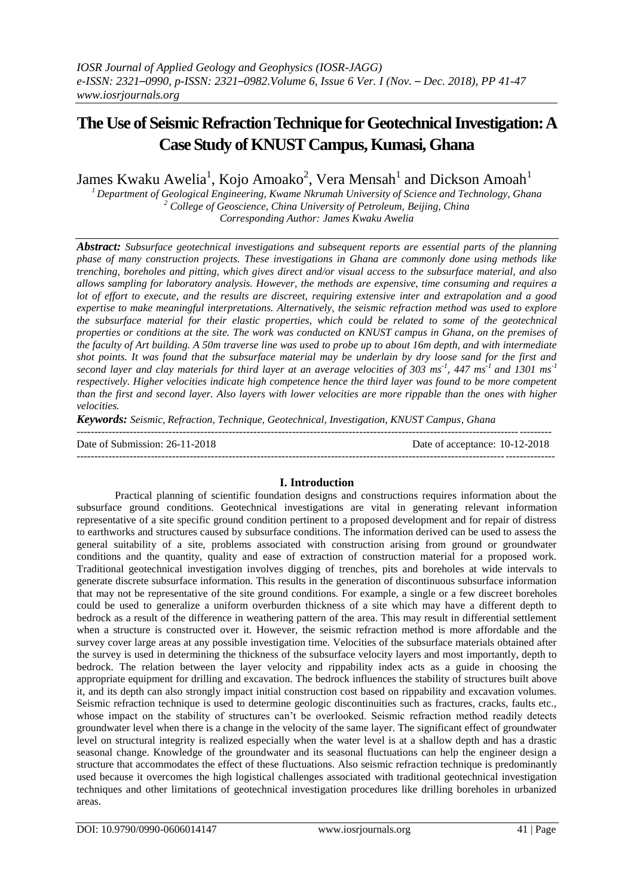# **The Use of Seismic Refraction Technique for Geotechnical Investigation: A Case Study of KNUST Campus, Kumasi, Ghana**

James Kwaku Awelia $^1$ , Kojo Amoako $^2$ , Vera Mensah $^1$  and Dickson Amoah $^1$ 

*<sup>1</sup>Department of Geological Engineering, Kwame Nkrumah University of Science and Technology, Ghana <sup>2</sup> College of Geoscience, China University of Petroleum, Beijing, China Corresponding Author: James Kwaku Awelia*

*Abstract: Subsurface geotechnical investigations and subsequent reports are essential parts of the planning phase of many construction projects. These investigations in Ghana are commonly done using methods like trenching, boreholes and pitting, which gives direct and/or visual access to the subsurface material, and also allows sampling for laboratory analysis. However, the methods are expensive, time consuming and requires a lot of effort to execute, and the results are discreet, requiring extensive inter and extrapolation and a good expertise to make meaningful interpretations. Alternatively, the seismic refraction method was used to explore the subsurface material for their elastic properties, which could be related to some of the geotechnical properties or conditions at the site. The work was conducted on KNUST campus in Ghana, on the premises of the faculty of Art building. A 50m traverse line was used to probe up to about 16m depth, and with intermediate shot points. It was found that the subsurface material may be underlain by dry loose sand for the first and second layer and clay materials for third layer at an average velocities of 303 ms-1 , 447 ms-1 and 1301 ms-1 respectively. Higher velocities indicate high competence hence the third layer was found to be more competent than the first and second layer. Also layers with lower velocities are more rippable than the ones with higher velocities.*

*Keywords: Seismic, Refraction, Technique, Geotechnical, Investigation, KNUST Campus, Ghana*

| Date of Submission: 26-11-2018 | Date of acceptance: 10-12-2018 |
|--------------------------------|--------------------------------|
|                                |                                |

# **I. Introduction**

Practical planning of scientific foundation designs and constructions requires information about the subsurface ground conditions. Geotechnical investigations are vital in generating relevant information representative of a site specific ground condition pertinent to a proposed development and for repair of distress to earthworks and structures caused by subsurface conditions. The information derived can be used to assess the general suitability of a site, problems associated with construction arising from ground or groundwater conditions and the quantity, quality and ease of extraction of construction material for a proposed work. Traditional geotechnical investigation involves digging of trenches, pits and boreholes at wide intervals to generate discrete subsurface information. This results in the generation of discontinuous subsurface information that may not be representative of the site ground conditions. For example, a single or a few discreet boreholes could be used to generalize a uniform overburden thickness of a site which may have a different depth to bedrock as a result of the difference in weathering pattern of the area. This may result in differential settlement when a structure is constructed over it. However, the seismic refraction method is more affordable and the survey cover large areas at any possible investigation time. Velocities of the subsurface materials obtained after the survey is used in determining the thickness of the subsurface velocity layers and most importantly, depth to bedrock. The relation between the layer velocity and rippability index acts as a guide in choosing the appropriate equipment for drilling and excavation. The bedrock influences the stability of structures built above it, and its depth can also strongly impact initial construction cost based on rippability and excavation volumes. Seismic refraction technique is used to determine geologic discontinuities such as fractures, cracks, faults etc., whose impact on the stability of structures can't be overlooked. Seismic refraction method readily detects groundwater level when there is a change in the velocity of the same layer. The significant effect of groundwater level on structural integrity is realized especially when the water level is at a shallow depth and has a drastic seasonal change. Knowledge of the groundwater and its seasonal fluctuations can help the engineer design a structure that accommodates the effect of these fluctuations. Also seismic refraction technique is predominantly used because it overcomes the high logistical challenges associated with traditional geotechnical investigation techniques and other limitations of geotechnical investigation procedures like drilling boreholes in urbanized areas.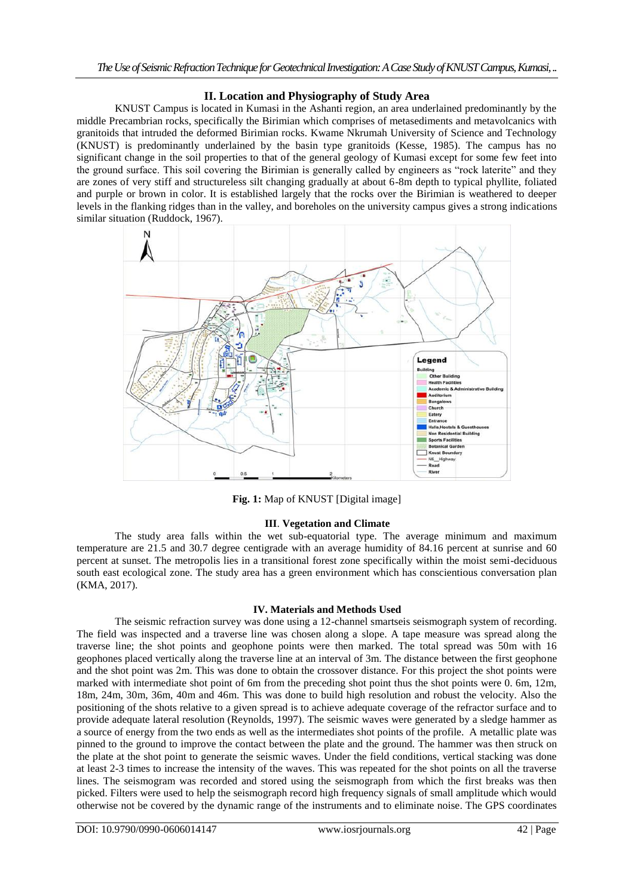# **II. Location and Physiography of Study Area**

KNUST Campus is located in Kumasi in the Ashanti region, an area underlained predominantly by the middle Precambrian rocks, specifically the Birimian which comprises of metasediments and metavolcanics with granitoids that intruded the deformed Birimian rocks. Kwame Nkrumah University of Science and Technology (KNUST) is predominantly underlained by the basin type granitoids (Kesse, 1985). The campus has no significant change in the soil properties to that of the general geology of Kumasi except for some few feet into the ground surface. This soil covering the Birimian is generally called by engineers as "rock laterite" and they are zones of very stiff and structureless silt changing gradually at about 6-8m depth to typical phyllite, foliated and purple or brown in color. It is established largely that the rocks over the Birimian is weathered to deeper levels in the flanking ridges than in the valley, and boreholes on the university campus gives a strong indications similar situation (Ruddock, 1967).



**Fig. 1:** Map of KNUST [Digital image]

# **III**. **Vegetation and Climate**

The study area falls within the wet sub-equatorial type. The average minimum and maximum temperature are 21.5 and 30.7 degree centigrade with an average humidity of 84.16 percent at sunrise and 60 percent at sunset. The metropolis lies in a transitional forest zone specifically within the moist semi-deciduous south east ecological zone. The study area has a green environment which has conscientious conversation plan (KMA, 2017).

# **IV. Materials and Methods Used**

The seismic refraction survey was done using a 12-channel smartseis seismograph system of recording. The field was inspected and a traverse line was chosen along a slope. A tape measure was spread along the traverse line; the shot points and geophone points were then marked. The total spread was 50m with 16 geophones placed vertically along the traverse line at an interval of 3m. The distance between the first geophone and the shot point was 2m. This was done to obtain the crossover distance. For this project the shot points were marked with intermediate shot point of 6m from the preceding shot point thus the shot points were  $\overline{0}$ . 6m, 12m, 18m, 24m, 30m, 36m, 40m and 46m. This was done to build high resolution and robust the velocity. Also the positioning of the shots relative to a given spread is to achieve adequate coverage of the refractor surface and to provide adequate lateral resolution (Reynolds, 1997). The seismic waves were generated by a sledge hammer as a source of energy from the two ends as well as the intermediates shot points of the profile. A metallic plate was pinned to the ground to improve the contact between the plate and the ground. The hammer was then struck on the plate at the shot point to generate the seismic waves. Under the field conditions, vertical stacking was done at least 2-3 times to increase the intensity of the waves. This was repeated for the shot points on all the traverse lines. The seismogram was recorded and stored using the seismograph from which the first breaks was then picked. Filters were used to help the seismograph record high frequency signals of small amplitude which would otherwise not be covered by the dynamic range of the instruments and to eliminate noise. The GPS coordinates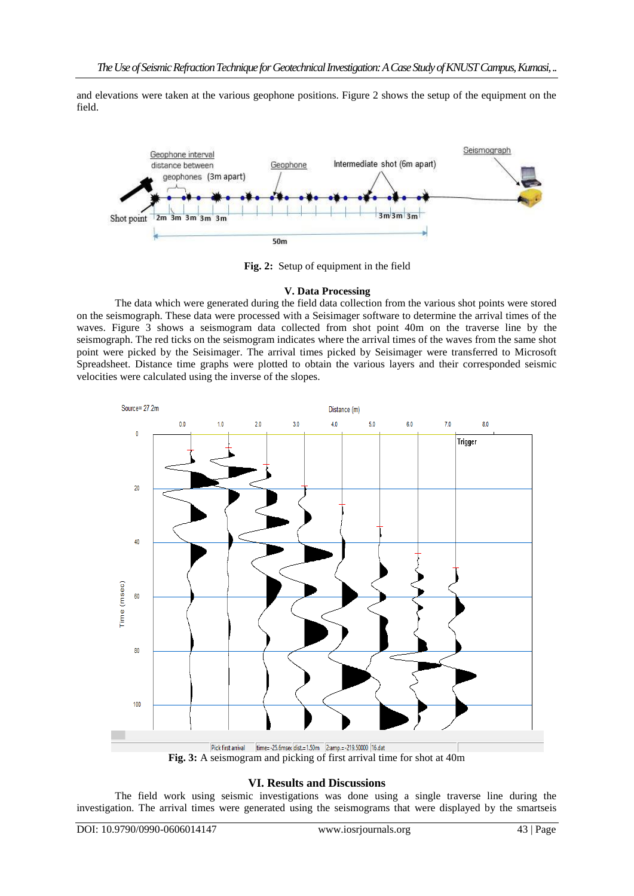and elevations were taken at the various geophone positions. Figure 2 shows the setup of the equipment on the field.



**Fig. 2:** Setup of equipment in the field

# **V. Data Processing**

The data which were generated during the field data collection from the various shot points were stored on the seismograph. These data were processed with a Seisimager software to determine the arrival times of the waves. Figure 3 shows a seismogram data collected from shot point 40m on the traverse line by the seismograph. The red ticks on the seismogram indicates where the arrival times of the waves from the same shot point were picked by the Seisimager. The arrival times picked by Seisimager were transferred to Microsoft Spreadsheet. Distance time graphs were plotted to obtain the various layers and their corresponded seismic velocities were calculated using the inverse of the slopes.



Pick first arrival time=-25.6mseq dist.=1.50m 2:amp.=-219.50000 |16.dat<br> **Fig. 3:** A seismogram and picking of first arrival time for shot at 40m

# **VI. Results and Discussions**

The field work using seismic investigations was done using a single traverse line during the investigation. The arrival times were generated using the seismograms that were displayed by the smartseis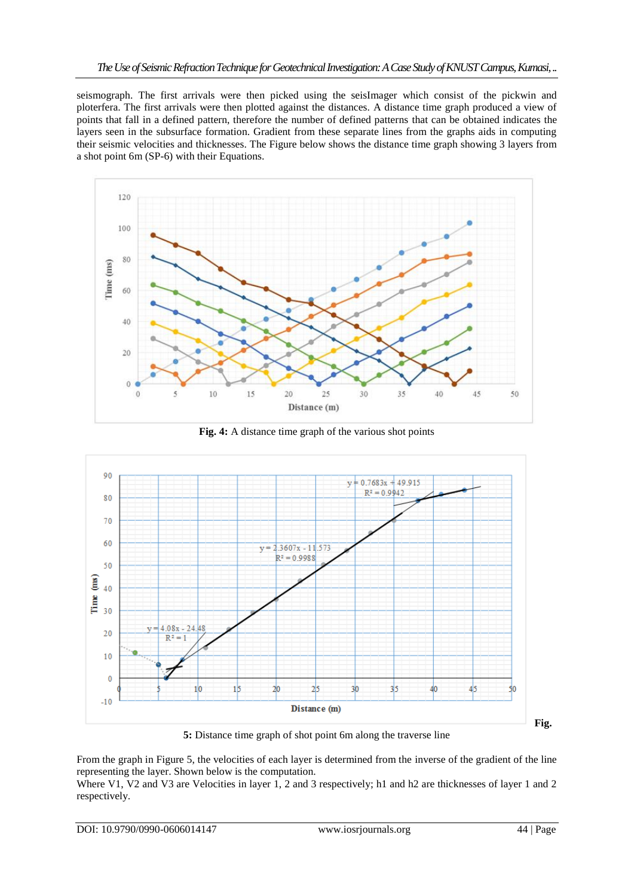seismograph. The first arrivals were then picked using the seisImager which consist of the pickwin and ploterfera. The first arrivals were then plotted against the distances. A distance time graph produced a view of points that fall in a defined pattern, therefore the number of defined patterns that can be obtained indicates the layers seen in the subsurface formation. Gradient from these separate lines from the graphs aids in computing their seismic velocities and thicknesses. The Figure below shows the distance time graph showing 3 layers from a shot point 6m (SP-6) with their Equations.



**Fig. 4:** A distance time graph of the various shot points



**5:** Distance time graph of shot point 6m along the traverse line

From the graph in Figure 5, the velocities of each layer is determined from the inverse of the gradient of the line representing the layer. Shown below is the computation.

Where V1, V2 and V3 are Velocities in layer 1, 2 and 3 respectively; h1 and h2 are thicknesses of layer 1 and 2 respectively.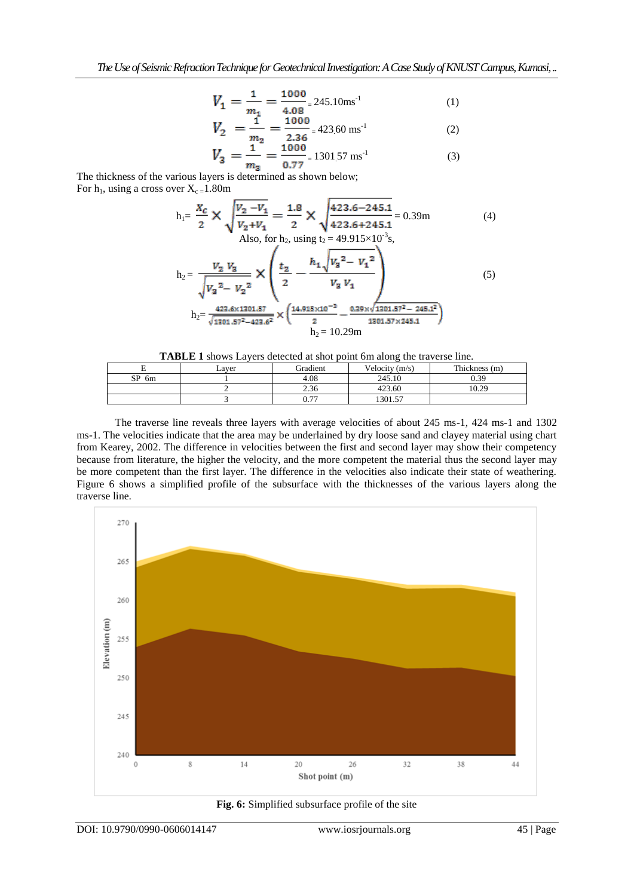$$
V_1 = \frac{1}{m_1} = \frac{1000}{4.08} = 245.10 \text{ms}^{-1}
$$
 (1)

$$
V_2 = \frac{1}{m_2} = \frac{1000}{2.36} = 423.60 \text{ ms}^{-1}
$$
 (2)

$$
V_3 = \frac{1}{m_3} = \frac{1000}{0.77} = 1301.57 \text{ ms}^{-1}
$$
 (3)

The thickness of the various layers is determined as shown below; For  $h_1$ , using a cross over  $X_c = 1.80$ m

$$
h_{1} = \frac{X_C}{2} \times \sqrt{\frac{V_2 - V_1}{V_2 + V_1}} = \frac{1.8}{2} \times \sqrt{\frac{423.6 - 245.1}{423.6 + 245.1}} = 0.39m
$$
(4)  
Also, for  $h_2$ , using  $t_2 = 49.915 \times 10^{-3}$ s,  

$$
h_2 = \frac{V_2 V_3}{\sqrt{V_3^2 - V_2^2}} \times \left(\frac{t_2}{2} - \frac{h_1 \sqrt{V_3^2 - V_1^2}}{V_3 V_1}\right)_{h_2 = \frac{423.6 \times 1301.57}{\sqrt{1301.57^2 - 423.6^2}}} \times \left(\frac{14.915 \times 10^{-3}}{2} - \frac{0.39 \times \sqrt{1301.57^2 - 245.1^2}}{1301.57 \times 245.1}\right)
$$
(5)

|         | Laver | Gradient     | Velocity $(m/s)$ | Thickness (m) |
|---------|-------|--------------|------------------|---------------|
| $SP_6m$ |       | 4.08         | 245.10           | 0.39          |
|         |       | 2.36         | 423.60           | 10.29         |
|         |       | 0.77<br>V. / | 1301.57          |               |

The traverse line reveals three layers with average velocities of about 245 ms-1, 424 ms-1 and 1302 ms-1. The velocities indicate that the area may be underlained by dry loose sand and clayey material using chart from Kearey, 2002. The difference in velocities between the first and second layer may show their competency because from literature, the higher the velocity, and the more competent the material thus the second layer may be more competent than the first layer. The difference in the velocities also indicate their state of weathering. Figure 6 shows a simplified profile of the subsurface with the thicknesses of the various layers along the traverse line.



**Fig. 6:** Simplified subsurface profile of the site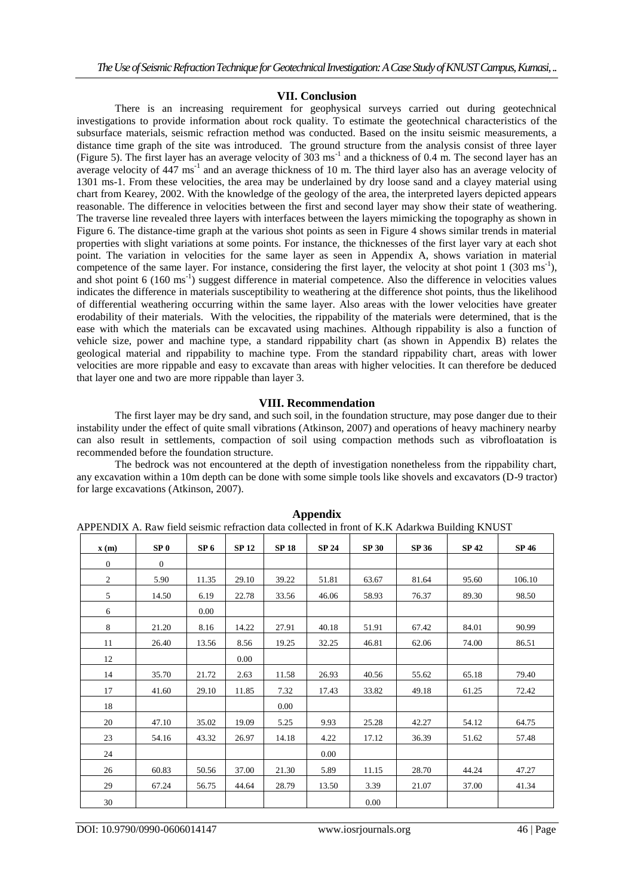### **VII. Conclusion**

There is an increasing requirement for geophysical surveys carried out during geotechnical investigations to provide information about rock quality. To estimate the geotechnical characteristics of the subsurface materials, seismic refraction method was conducted. Based on the insitu seismic measurements, a distance time graph of the site was introduced. The ground structure from the analysis consist of three layer (Figure 5). The first layer has an average velocity of  $303 \text{ ms}^{-1}$  and a thickness of 0.4 m. The second layer has an average velocity of  $447 \text{ ms}^{-1}$  and an average thickness of 10 m. The third layer also has an average velocity of 1301 ms-1. From these velocities, the area may be underlained by dry loose sand and a clayey material using chart from Kearey, 2002. With the knowledge of the geology of the area, the interpreted layers depicted appears reasonable. The difference in velocities between the first and second layer may show their state of weathering. The traverse line revealed three layers with interfaces between the layers mimicking the topography as shown in Figure 6. The distance-time graph at the various shot points as seen in Figure 4 shows similar trends in material properties with slight variations at some points. For instance, the thicknesses of the first layer vary at each shot point. The variation in velocities for the same layer as seen in Appendix A, shows variation in material competence of the same layer. For instance, considering the first layer, the velocity at shot point  $1$  (303 ms<sup>-1</sup>), and shot point 6 (160 ms<sup>-1</sup>) suggest difference in material competence. Also the difference in velocities values indicates the difference in materials susceptibility to weathering at the difference shot points, thus the likelihood of differential weathering occurring within the same layer. Also areas with the lower velocities have greater erodability of their materials. With the velocities, the rippability of the materials were determined, that is the ease with which the materials can be excavated using machines. Although rippability is also a function of vehicle size, power and machine type, a standard rippability chart (as shown in Appendix B) relates the geological material and rippability to machine type. From the standard rippability chart, areas with lower velocities are more rippable and easy to excavate than areas with higher velocities. It can therefore be deduced that layer one and two are more rippable than layer 3.

#### **VIII. Recommendation**

The first layer may be dry sand, and such soil, in the foundation structure, may pose danger due to their instability under the effect of quite small vibrations (Atkinson, 2007) and operations of heavy machinery nearby can also result in settlements, compaction of soil using compaction methods such as vibrofloatation is recommended before the foundation structure.

The bedrock was not encountered at the depth of investigation nonetheless from the rippability chart, any excavation within a 10m depth can be done with some simple tools like shovels and excavators (D-9 tractor) for large excavations (Atkinson, 2007).

|                          |                 |                 |              |              |              | APPENDIA A. RAW HEIG SEISINIC FEIFACHON GAIA COHECIEG IN IFONI OF K.K. AGATKWA BUHGING KNUS I |       |              |        |  |  |  |  |
|--------------------------|-----------------|-----------------|--------------|--------------|--------------|-----------------------------------------------------------------------------------------------|-------|--------------|--------|--|--|--|--|
| $\mathbf{x}(\mathbf{m})$ | SP <sub>0</sub> | SP <sub>6</sub> | <b>SP 12</b> | <b>SP 18</b> | <b>SP 24</b> | <b>SP 30</b>                                                                                  | SP 36 | <b>SP 42</b> | SP 46  |  |  |  |  |
| $\mathbf{0}$             | $\overline{0}$  |                 |              |              |              |                                                                                               |       |              |        |  |  |  |  |
| $\overline{2}$           | 5.90            | 11.35           | 29.10        | 39.22        | 51.81        | 63.67                                                                                         | 81.64 | 95.60        | 106.10 |  |  |  |  |
| 5                        | 14.50           | 6.19            | 22.78        | 33.56        | 46.06        | 58.93                                                                                         | 76.37 | 89.30        | 98.50  |  |  |  |  |
| 6                        |                 | 0.00            |              |              |              |                                                                                               |       |              |        |  |  |  |  |
| 8                        | 21.20           | 8.16            | 14.22        | 27.91        | 40.18        | 51.91                                                                                         | 67.42 | 84.01        | 90.99  |  |  |  |  |
| 11                       | 26.40           | 13.56           | 8.56         | 19.25        | 32.25        | 46.81                                                                                         | 62.06 | 74.00        | 86.51  |  |  |  |  |
| 12                       |                 |                 | 0.00         |              |              |                                                                                               |       |              |        |  |  |  |  |
| 14                       | 35.70           | 21.72           | 2.63         | 11.58        | 26.93        | 40.56                                                                                         | 55.62 | 65.18        | 79.40  |  |  |  |  |
| 17                       | 41.60           | 29.10           | 11.85        | 7.32         | 17.43        | 33.82                                                                                         | 49.18 | 61.25        | 72.42  |  |  |  |  |
| 18                       |                 |                 |              | 0.00         |              |                                                                                               |       |              |        |  |  |  |  |
| 20                       | 47.10           | 35.02           | 19.09        | 5.25         | 9.93         | 25.28                                                                                         | 42.27 | 54.12        | 64.75  |  |  |  |  |
| 23                       | 54.16           | 43.32           | 26.97        | 14.18        | 4.22         | 17.12                                                                                         | 36.39 | 51.62        | 57.48  |  |  |  |  |
| 24                       |                 |                 |              |              | $0.00\,$     |                                                                                               |       |              |        |  |  |  |  |
| 26                       | 60.83           | 50.56           | 37.00        | 21.30        | 5.89         | 11.15                                                                                         | 28.70 | 44.24        | 47.27  |  |  |  |  |
| 29                       | 67.24           | 56.75           | 44.64        | 28.79        | 13.50        | 3.39                                                                                          | 21.07 | 37.00        | 41.34  |  |  |  |  |
| 30                       |                 |                 |              |              |              | 0.00                                                                                          |       |              |        |  |  |  |  |

**Appendix** APPENDIX A. Raw field seismic refraction data collected in front of K.K Adarkwa Building KNUST